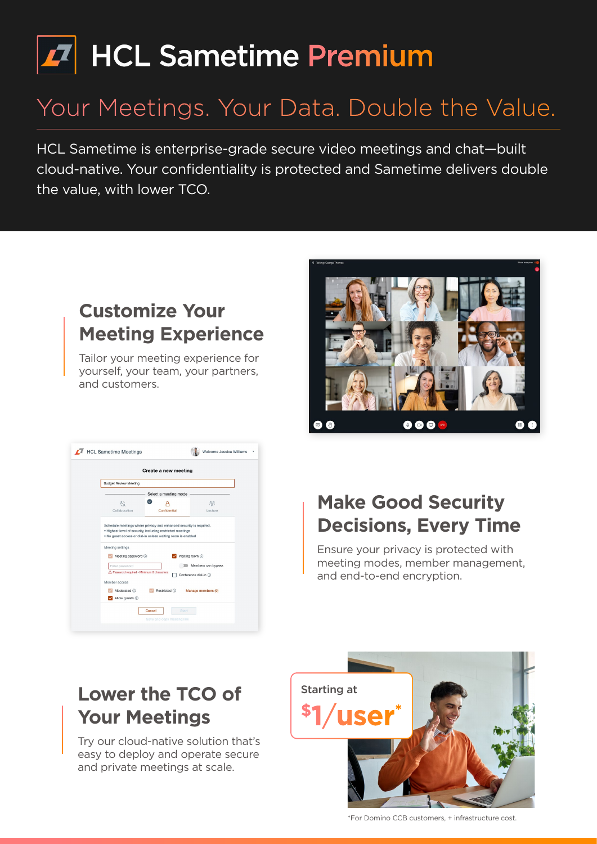# Z HCL Sametime Premium

## Your Meetings. Your Data. Double the Value.

HCL Sametime is enterprise-grade secure video meetings and chat—built cloud-native. Your confidentiality is protected and Sametime delivers double the value, with lower TCO.

#### **Customize Your Meeting Experience**

Tailor your meeting experience for yourself, your team, your partners, and customers.

| <b>Budget Review Meeting</b>                                 |                                                                                                                                                                                                 |                                        |
|--------------------------------------------------------------|-------------------------------------------------------------------------------------------------------------------------------------------------------------------------------------------------|----------------------------------------|
|                                                              | Select a meeting mode                                                                                                                                                                           |                                        |
| å                                                            |                                                                                                                                                                                                 | ಜಿ                                     |
| Collaboration                                                | Confidential                                                                                                                                                                                    | Lecture                                |
| Meeting settings                                             | Schedule meetings where privacy and enhanced security is required.<br>. Highest level of security, including restricted meetings<br>. No quest access or dial-in unless waiting room is enabled |                                        |
| Meeting password (i)                                         |                                                                                                                                                                                                 | Waiting room (i)<br>Members can bypass |
| Enter password<br>A Password required - Minimum 8 characters |                                                                                                                                                                                                 | Conference dial-in (i)                 |
| Member access                                                |                                                                                                                                                                                                 |                                        |



#### **Make Good Security Decisions, Every Time**

Ensure your privacy is protected with meeting modes, member management, and end-to-end encryption.

#### **Lower the TCO of Your Meetings**

Try our cloud-native solution that's easy to deploy and operate secure and private meetings at scale.



\*For Domino CCB customers, + infrastructure cost.